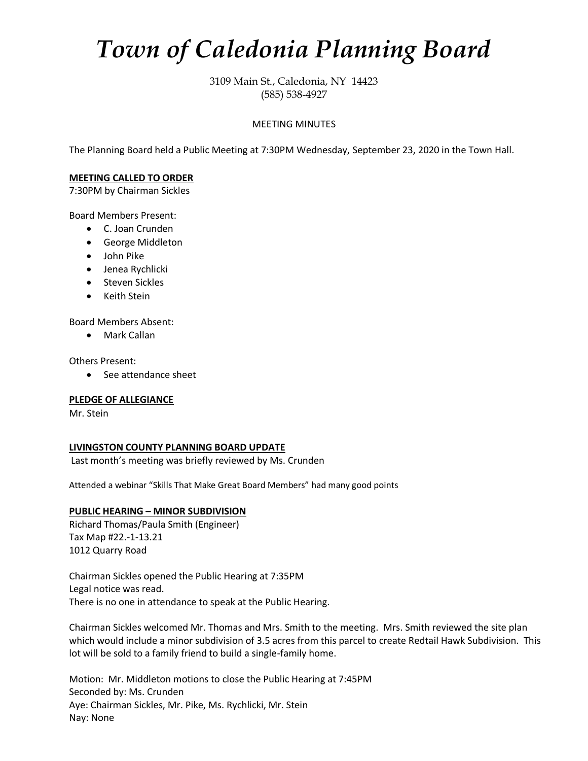# *Town of Caledonia Planning Board*

3109 Main St., Caledonia, NY 14423 (585) 538-4927

## MEETING MINUTES

The Planning Board held a Public Meeting at 7:30PM Wednesday, September 23, 2020 in the Town Hall.

## **MEETING CALLED TO ORDER**

7:30PM by Chairman Sickles

Board Members Present:

- C. Joan Crunden
- George Middleton
- John Pike
- Jenea Rychlicki
- Steven Sickles
- Keith Stein

Board Members Absent:

• Mark Callan

Others Present:

• See attendance sheet

## **PLEDGE OF ALLEGIANCE**

Mr. Stein

## **LIVINGSTON COUNTY PLANNING BOARD UPDATE**

Last month's meeting was briefly reviewed by Ms. Crunden

Attended a webinar "Skills That Make Great Board Members" had many good points

# **PUBLIC HEARING – MINOR SUBDIVISION**

Richard Thomas/Paula Smith (Engineer) Tax Map #22.-1-13.21 1012 Quarry Road

Chairman Sickles opened the Public Hearing at 7:35PM Legal notice was read. There is no one in attendance to speak at the Public Hearing.

Chairman Sickles welcomed Mr. Thomas and Mrs. Smith to the meeting. Mrs. Smith reviewed the site plan which would include a minor subdivision of 3.5 acres from this parcel to create Redtail Hawk Subdivision. This lot will be sold to a family friend to build a single-family home.

Motion: Mr. Middleton motions to close the Public Hearing at 7:45PM Seconded by: Ms. Crunden Aye: Chairman Sickles, Mr. Pike, Ms. Rychlicki, Mr. Stein Nay: None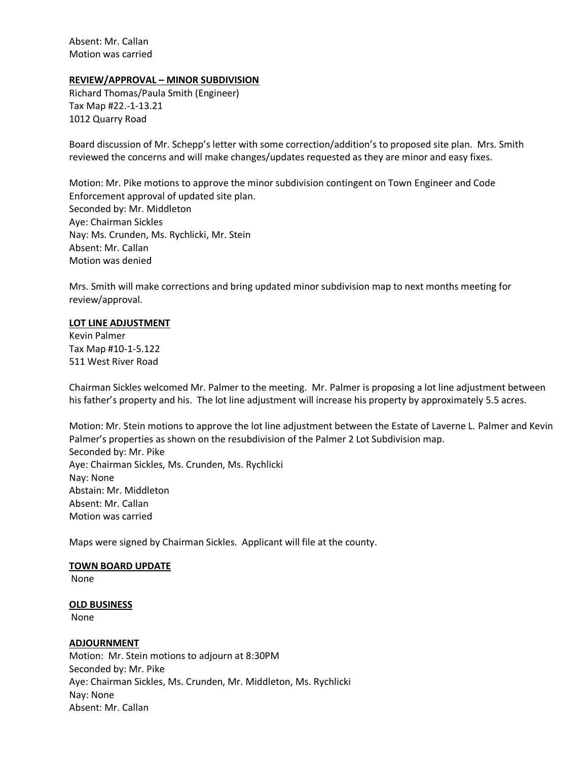Absent: Mr. Callan Motion was carried

## **REVIEW/APPROVAL – MINOR SUBDIVISION**

Richard Thomas/Paula Smith (Engineer) Tax Map #22.-1-13.21 1012 Quarry Road

Board discussion of Mr. Schepp's letter with some correction/addition's to proposed site plan. Mrs. Smith reviewed the concerns and will make changes/updates requested as they are minor and easy fixes.

Motion: Mr. Pike motions to approve the minor subdivision contingent on Town Engineer and Code Enforcement approval of updated site plan. Seconded by: Mr. Middleton Aye: Chairman Sickles Nay: Ms. Crunden, Ms. Rychlicki, Mr. Stein Absent: Mr. Callan Motion was denied

Mrs. Smith will make corrections and bring updated minor subdivision map to next months meeting for review/approval.

### **LOT LINE ADJUSTMENT**

Kevin Palmer Tax Map #10-1-5.122 511 West River Road

Chairman Sickles welcomed Mr. Palmer to the meeting. Mr. Palmer is proposing a lot line adjustment between his father's property and his. The lot line adjustment will increase his property by approximately 5.5 acres.

Motion: Mr. Stein motions to approve the lot line adjustment between the Estate of Laverne L. Palmer and Kevin Palmer's properties as shown on the resubdivision of the Palmer 2 Lot Subdivision map. Seconded by: Mr. Pike Aye: Chairman Sickles, Ms. Crunden, Ms. Rychlicki Nay: None Abstain: Mr. Middleton Absent: Mr. Callan Motion was carried

Maps were signed by Chairman Sickles. Applicant will file at the county.

### **TOWN BOARD UPDATE**

None

**OLD BUSINESS**

None

## **ADJOURNMENT**

Motion: Mr. Stein motions to adjourn at 8:30PM Seconded by: Mr. Pike Aye: Chairman Sickles, Ms. Crunden, Mr. Middleton, Ms. Rychlicki Nay: None Absent: Mr. Callan